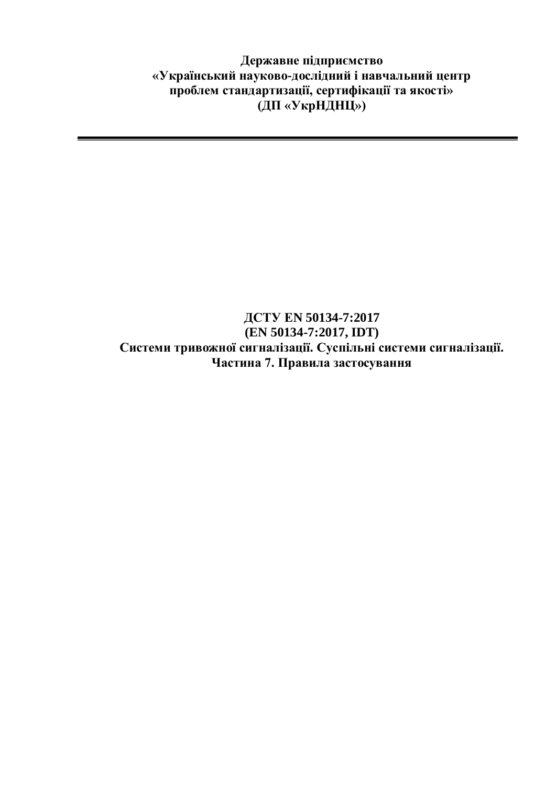**Державне підприємство «Український науково-дослідний і навчальний центр проблем стандартизації, сертифікації та якості» (ДП «УкрНДНЦ»)**

## **ДСТУ ЕN 50134-7:2017 (EN 50134-7:2017, IDT) Системи тривожної сигналізації. Суспільні системи сигналізації. Частина 7. Правила застосування**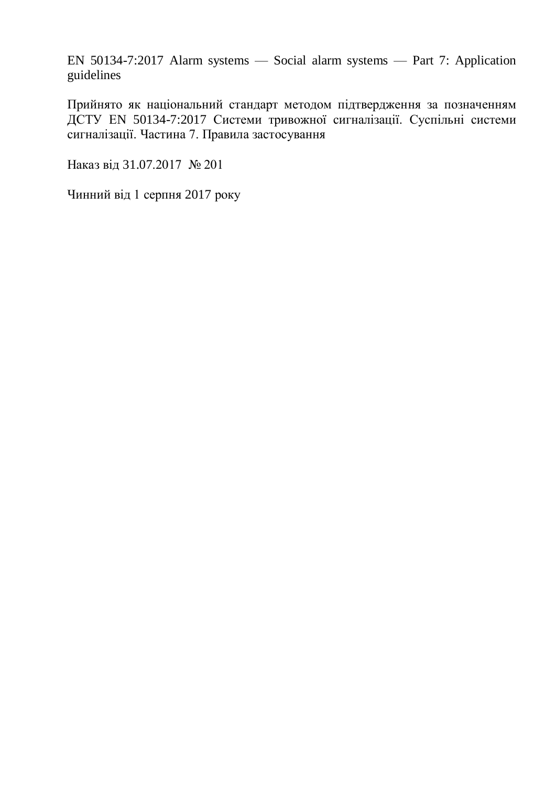EN 50134-7:2017 Alarm systems — Social alarm systems — Part 7: Application guidelines

Прийнято як національний стандарт методом підтвердження за позначенням ДСТУ ЕN 50134-7:2017 Системи тривожної сигналізації. Суспільні системи сигналізації. Частина 7. Правила застосування

Наказ від 31.07.2017 № 201

Чинний від 1 серпня 2017 року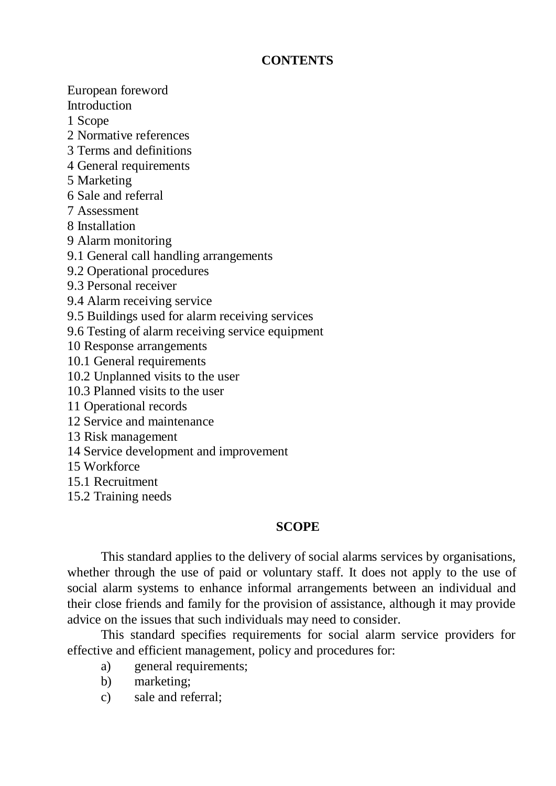## **CONTENTS**

European foreword Introduction 1 Scope 2 Normative references 3 Terms and definitions 4 General requirements 5 Marketing 6 Sale and referral 7 Assessment 8 Installation 9 Alarm monitoring 9.1 General call handling arrangements 9.2 Operational procedures 9.3 Personal receiver 9.4 Alarm receiving service 9.5 Buildings used for alarm receiving services 9.6 Testing of alarm receiving service equipment 10 Response arrangements 10.1 General requirements 10.2 Unplanned visits to the user 10.3 Planned visits to the user 11 Operational records 12 Service and maintenance 13 Risk management 14 Service development and improvement 15 Workforce 15.1 Recruitment 15.2 Training needs

## **SCOPE**

This standard applies to the delivery of social alarms services by organisations, whether through the use of paid or voluntary staff. It does not apply to the use of social alarm systems to enhance informal arrangements between an individual and their close friends and family for the provision of assistance, although it may provide advice on the issues that such individuals may need to consider.

This standard specifies requirements for social alarm service providers for effective and efficient management, policy and procedures for:

- a) general requirements;
- b) marketing;
- c) sale and referral;